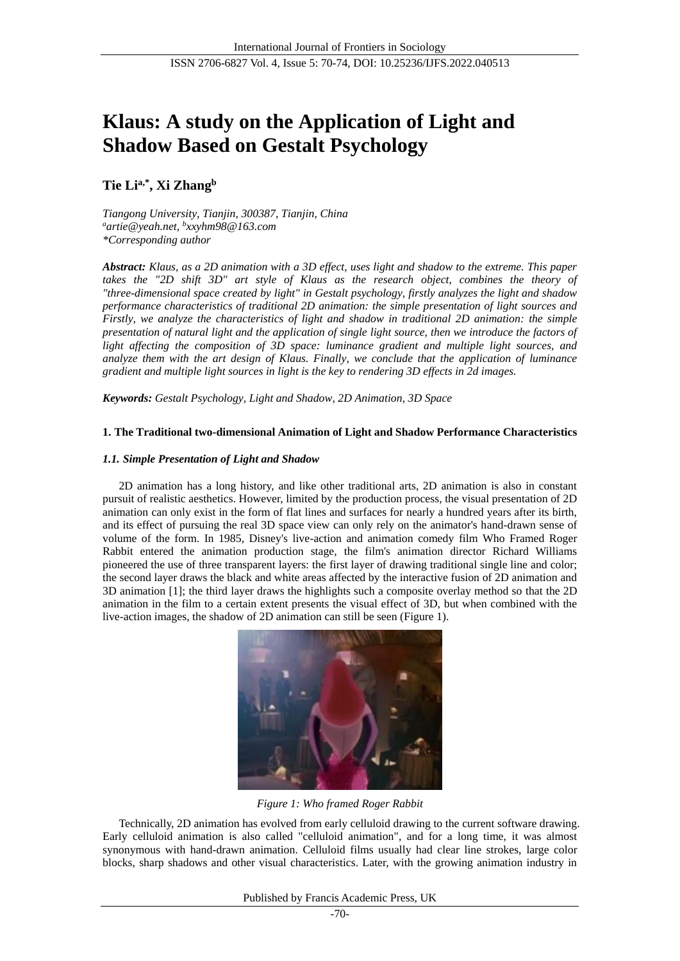# **Klaus: A study on the Application of Light and Shadow Based on Gestalt Psychology**

# **Tie Lia,\*, Xi Zhang<sup>b</sup>**

*Tiangong University, Tianjin, 300387, Tianjin, China <sup>a</sup>artie@yeah.net, b xxyhm98@163.com \*Corresponding author*

*Abstract: Klaus, as a 2D animation with a 3D effect, uses light and shadow to the extreme. This paper takes the "2D shift 3D" art style of Klaus as the research object, combines the theory of "three-dimensional space created by light" in Gestalt psychology, firstly analyzes the light and shadow performance characteristics of traditional 2D animation: the simple presentation of light sources and Firstly, we analyze the characteristics of light and shadow in traditional 2D animation: the simple presentation of natural light and the application of single light source, then we introduce the factors of light affecting the composition of 3D space: luminance gradient and multiple light sources, and analyze them with the art design of Klaus. Finally, we conclude that the application of luminance gradient and multiple light sources in light is the key to rendering 3D effects in 2d images.*

*Keywords: Gestalt Psychology, Light and Shadow, 2D Animation, 3D Space*

# **1. The Traditional two-dimensional Animation of Light and Shadow Performance Characteristics**

#### *1.1. Simple Presentation of Light and Shadow*

2D animation has a long history, and like other traditional arts, 2D animation is also in constant pursuit of realistic aesthetics. However, limited by the production process, the visual presentation of 2D animation can only exist in the form of flat lines and surfaces for nearly a hundred years after its birth, and its effect of pursuing the real 3D space view can only rely on the animator's hand-drawn sense of volume of the form. In 1985, Disney's live-action and animation comedy film Who Framed Roger Rabbit entered the animation production stage, the film's animation director Richard Williams pioneered the use of three transparent layers: the first layer of drawing traditional single line and color; the second layer draws the black and white areas affected by the interactive fusion of 2D animation and 3D animation [1]; the third layer draws the highlights such a composite overlay method so that the 2D animation in the film to a certain extent presents the visual effect of 3D, but when combined with the live-action images, the shadow of 2D animation can still be seen (Figure 1).



*Figure 1: Who framed Roger Rabbit*

Technically, 2D animation has evolved from early celluloid drawing to the current software drawing. Early celluloid animation is also called "celluloid animation", and for a long time, it was almost synonymous with hand-drawn animation. Celluloid films usually had clear line strokes, large color blocks, sharp shadows and other visual characteristics. Later, with the growing animation industry in

Published by Francis Academic Press, UK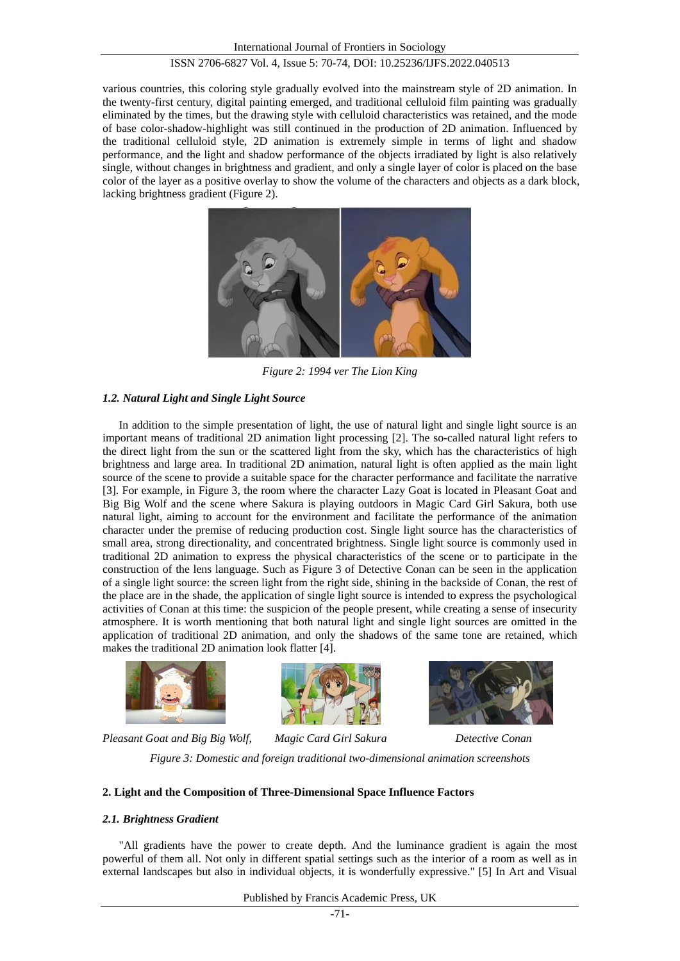various countries, this coloring style gradually evolved into the mainstream style of 2D animation. In the twenty-first century, digital painting emerged, and traditional celluloid film painting was gradually eliminated by the times, but the drawing style with celluloid characteristics was retained, and the mode of base color-shadow-highlight was still continued in the production of 2D animation. Influenced by the traditional celluloid style, 2D animation is extremely simple in terms of light and shadow performance, and the light and shadow performance of the objects irradiated by light is also relatively single, without changes in brightness and gradient, and only a single layer of color is placed on the base color of the layer as a positive overlay to show the volume of the characters and objects as a dark block, lacking brightness gradient (Figure 2).



*Figure 2: 1994 ver The Lion King*

# *1.2. Natural Light and Single Light Source*

In addition to the simple presentation of light, the use of natural light and single light source is an important means of traditional 2D animation light processing [2]. The so-called natural light refers to the direct light from the sun or the scattered light from the sky, which has the characteristics of high brightness and large area. In traditional 2D animation, natural light is often applied as the main light source of the scene to provide a suitable space for the character performance and facilitate the narrative [3]. For example, in Figure 3, the room where the character Lazy Goat is located in Pleasant Goat and Big Big Wolf and the scene where Sakura is playing outdoors in Magic Card Girl Sakura, both use natural light, aiming to account for the environment and facilitate the performance of the animation character under the premise of reducing production cost. Single light source has the characteristics of small area, strong directionality, and concentrated brightness. Single light source is commonly used in traditional 2D animation to express the physical characteristics of the scene or to participate in the construction of the lens language. Such as Figure 3 of Detective Conan can be seen in the application of a single light source: the screen light from the right side, shining in the backside of Conan, the rest of the place are in the shade, the application of single light source is intended to express the psychological activities of Conan at this time: the suspicion of the people present, while creating a sense of insecurity atmosphere. It is worth mentioning that both natural light and single light sources are omitted in the application of traditional 2D animation, and only the shadows of the same tone are retained, which makes the traditional 2D animation look flatter [4].







*Pleasant Goat and Big Big Wolf, Magic Card Girl Sakura Detective Conan Figure 3: Domestic and foreign traditional two-dimensional animation screenshots*

#### **2. Light and the Composition of Three-Dimensional Space Influence Factors**

#### *2.1. Brightness Gradient*

"All gradients have the power to create depth. And the luminance gradient is again the most powerful of them all. Not only in different spatial settings such as the interior of a room as well as in external landscapes but also in individual objects, it is wonderfully expressive." [5] In Art and Visual

Published by Francis Academic Press, UK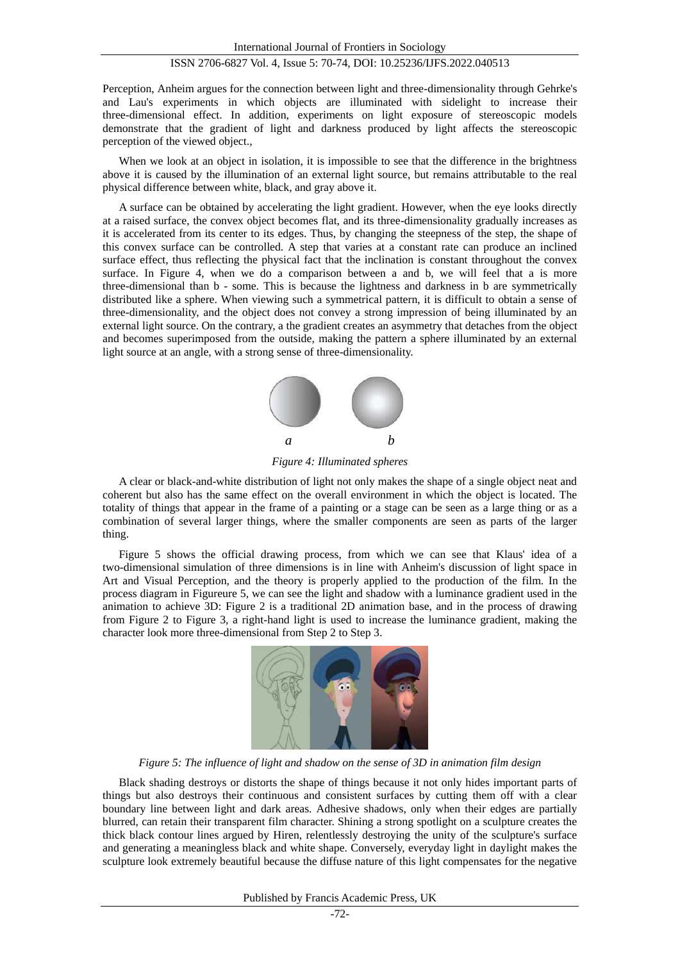Perception, Anheim argues for the connection between light and three-dimensionality through Gehrke's and Lau's experiments in which objects are illuminated with sidelight to increase their three-dimensional effect. In addition, experiments on light exposure of stereoscopic models demonstrate that the gradient of light and darkness produced by light affects the stereoscopic perception of the viewed object.,

When we look at an object in isolation, it is impossible to see that the difference in the brightness above it is caused by the illumination of an external light source, but remains attributable to the real physical difference between white, black, and gray above it.

A surface can be obtained by accelerating the light gradient. However, when the eye looks directly at a raised surface, the convex object becomes flat, and its three-dimensionality gradually increases as it is accelerated from its center to its edges. Thus, by changing the steepness of the step, the shape of this convex surface can be controlled. A step that varies at a constant rate can produce an inclined surface effect, thus reflecting the physical fact that the inclination is constant throughout the convex surface. In Figure 4, when we do a comparison between a and b, we will feel that a is more three-dimensional than b - some. This is because the lightness and darkness in b are symmetrically distributed like a sphere. When viewing such a symmetrical pattern, it is difficult to obtain a sense of three-dimensionality, and the object does not convey a strong impression of being illuminated by an external light source. On the contrary, a the gradient creates an asymmetry that detaches from the object and becomes superimposed from the outside, making the pattern a sphere illuminated by an external light source at an angle, with a strong sense of three-dimensionality.



*Figure 4: Illuminated spheres*

A clear or black-and-white distribution of light not only makes the shape of a single object neat and coherent but also has the same effect on the overall environment in which the object is located. The totality of things that appear in the frame of a painting or a stage can be seen as a large thing or as a combination of several larger things, where the smaller components are seen as parts of the larger thing.

Figure 5 shows the official drawing process, from which we can see that Klaus' idea of a two-dimensional simulation of three dimensions is in line with Anheim's discussion of light space in Art and Visual Perception, and the theory is properly applied to the production of the film. In the process diagram in Figureure 5, we can see the light and shadow with a luminance gradient used in the animation to achieve 3D: Figure 2 is a traditional 2D animation base, and in the process of drawing from Figure 2 to Figure 3, a right-hand light is used to increase the luminance gradient, making the character look more three-dimensional from Step 2 to Step 3.



*Figure 5: The influence of light and shadow on the sense of 3D in animation film design*

Black shading destroys or distorts the shape of things because it not only hides important parts of things but also destroys their continuous and consistent surfaces by cutting them off with a clear boundary line between light and dark areas. Adhesive shadows, only when their edges are partially blurred, can retain their transparent film character. Shining a strong spotlight on a sculpture creates the thick black contour lines argued by Hiren, relentlessly destroying the unity of the sculpture's surface and generating a meaningless black and white shape. Conversely, everyday light in daylight makes the sculpture look extremely beautiful because the diffuse nature of this light compensates for the negative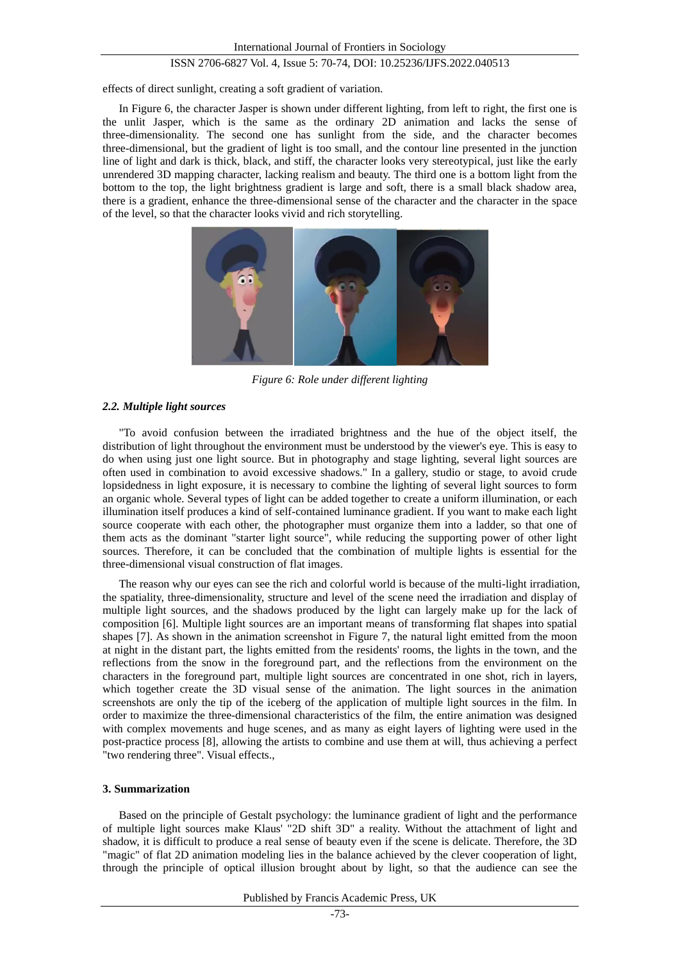effects of direct sunlight, creating a soft gradient of variation.

In Figure 6, the character Jasper is shown under different lighting, from left to right, the first one is the unlit Jasper, which is the same as the ordinary 2D animation and lacks the sense of three-dimensionality. The second one has sunlight from the side, and the character becomes three-dimensional, but the gradient of light is too small, and the contour line presented in the junction line of light and dark is thick, black, and stiff, the character looks very stereotypical, just like the early unrendered 3D mapping character, lacking realism and beauty. The third one is a bottom light from the bottom to the top, the light brightness gradient is large and soft, there is a small black shadow area, there is a gradient, enhance the three-dimensional sense of the character and the character in the space of the level, so that the character looks vivid and rich storytelling.



*Figure 6: Role under different lighting*

#### *2.2. Multiple light sources*

"To avoid confusion between the irradiated brightness and the hue of the object itself, the distribution of light throughout the environment must be understood by the viewer's eye. This is easy to do when using just one light source. But in photography and stage lighting, several light sources are often used in combination to avoid excessive shadows." In a gallery, studio or stage, to avoid crude lopsidedness in light exposure, it is necessary to combine the lighting of several light sources to form an organic whole. Several types of light can be added together to create a uniform illumination, or each illumination itself produces a kind of self-contained luminance gradient. If you want to make each light source cooperate with each other, the photographer must organize them into a ladder, so that one of them acts as the dominant "starter light source", while reducing the supporting power of other light sources. Therefore, it can be concluded that the combination of multiple lights is essential for the three-dimensional visual construction of flat images.

The reason why our eyes can see the rich and colorful world is because of the multi-light irradiation, the spatiality, three-dimensionality, structure and level of the scene need the irradiation and display of multiple light sources, and the shadows produced by the light can largely make up for the lack of composition [6]. Multiple light sources are an important means of transforming flat shapes into spatial shapes [7]. As shown in the animation screenshot in Figure 7, the natural light emitted from the moon at night in the distant part, the lights emitted from the residents' rooms, the lights in the town, and the reflections from the snow in the foreground part, and the reflections from the environment on the characters in the foreground part, multiple light sources are concentrated in one shot, rich in layers, which together create the 3D visual sense of the animation. The light sources in the animation screenshots are only the tip of the iceberg of the application of multiple light sources in the film. In order to maximize the three-dimensional characteristics of the film, the entire animation was designed with complex movements and huge scenes, and as many as eight layers of lighting were used in the post-practice process [8], allowing the artists to combine and use them at will, thus achieving a perfect "two rendering three". Visual effects.,

#### **3. Summarization**

Based on the principle of Gestalt psychology: the luminance gradient of light and the performance of multiple light sources make Klaus' "2D shift 3D" a reality. Without the attachment of light and shadow, it is difficult to produce a real sense of beauty even if the scene is delicate. Therefore, the 3D "magic" of flat 2D animation modeling lies in the balance achieved by the clever cooperation of light, through the principle of optical illusion brought about by light, so that the audience can see the

Published by Francis Academic Press, UK